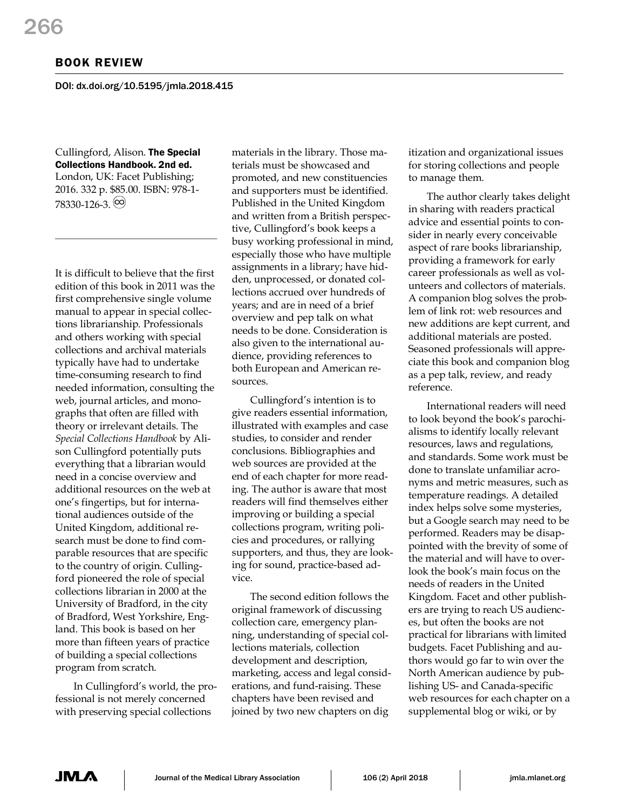## BOOK REVIEW

DOI: dx.doi.org/10.5195/jmla.2018.415

Cullingford, Alison. The Special Collections Handbook. 2nd ed. London, UK: Facet Publishing; 2016. 332 p. \$85.00. ISBN: 978-1-  $78330 - 126 - 3.$ 

It is difficult to believe that the first edition of this book in 2011 was the first comprehensive single volume manual to appear in special collections librarianship. Professionals and others working with special collections and archival materials typically have had to undertake time-consuming research to find needed information, consulting the web, journal articles, and monographs that often are filled with theory or irrelevant details. The *Special Collections Handbook* by Alison Cullingford potentially puts everything that a librarian would need in a concise overview and additional resources on the web at one's fingertips, but for international audiences outside of the United Kingdom, additional research must be done to find comparable resources that are specific to the country of origin. Cullingford pioneered the role of special collections librarian in 2000 at the University of Bradford, in the city of Bradford, West Yorkshire, England. This book is based on her more than fifteen years of practice of building a special collections program from scratch.

In Cullingford's world, the professional is not merely concerned with preserving special collections

materials in the library. Those materials must be showcased and promoted, and new constituencies and supporters must be identified. Published in the United Kingdom and written from a British perspective, Cullingford's book keeps a busy working professional in mind, especially those who have multiple assignments in a library; have hidden, unprocessed, or donated collections accrued over hundreds of years; and are in need of a brief overview and pep talk on what needs to be done. Consideration is also given to the international audience, providing references to both European and American resources.

Cullingford's intention is to give readers essential information, illustrated with examples and case studies, to consider and render conclusions. Bibliographies and web sources are provided at the end of each chapter for more reading. The author is aware that most readers will find themselves either improving or building a special collections program, writing policies and procedures, or rallying supporters, and thus, they are looking for sound, practice-based advice.

The second edition follows the original framework of discussing collection care, emergency planning, understanding of special collections materials, collection development and description, marketing, access and legal considerations, and fund-raising. These chapters have been revised and joined by two new chapters on dig

itization and organizational issues for storing collections and people to manage them.

The author clearly takes delight in sharing with readers practical advice and essential points to consider in nearly every conceivable aspect of rare books librarianship, providing a framework for early career professionals as well as volunteers and collectors of materials. A companion blog solves the problem of link rot: web resources and new additions are kept current, and additional materials are posted. Seasoned professionals will appreciate this book and companion blog as a pep talk, review, and ready reference.

International readers will need to look beyond the book's parochialisms to identify locally relevant resources, laws and regulations, and standards. Some work must be done to translate unfamiliar acronyms and metric measures, such as temperature readings. A detailed index helps solve some mysteries, but a Google search may need to be performed. Readers may be disappointed with the brevity of some of the material and will have to overlook the book's main focus on the needs of readers in the United Kingdom. Facet and other publishers are trying to reach US audiences, but often the books are not practical for librarians with limited budgets. Facet Publishing and authors would go far to win over the North American audience by publishing US- and Canada-specific web resources for each chapter on a supplemental blog or wiki, or by